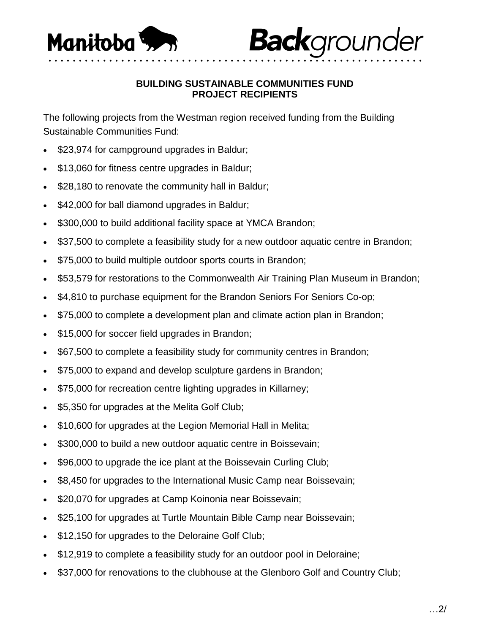

## **BUILDING SUSTAINABLE COMMUNITIES FUND PROJECT RECIPIENTS**

**Back**grounder

• • • • • • • • • • • • • • • • • • • • • • • • • • • • • • • • • • • • • • • • • • • • • • • • • • • • • • • • • • • • • •

The following projects from the Westman region received funding from the Building Sustainable Communities Fund:

- \$23,974 for campground upgrades in Baldur;
- \$13,060 for fitness centre upgrades in Baldur;
- \$28,180 to renovate the community hall in Baldur;
- \$42,000 for ball diamond upgrades in Baldur;
- \$300,000 to build additional facility space at YMCA Brandon;
- \$37,500 to complete a feasibility study for a new outdoor aquatic centre in Brandon;
- \$75,000 to build multiple outdoor sports courts in Brandon;
- \$53,579 for restorations to the Commonwealth Air Training Plan Museum in Brandon;
- \$4,810 to purchase equipment for the Brandon Seniors For Seniors Co-op;
- \$75,000 to complete a development plan and climate action plan in Brandon;
- \$15,000 for soccer field upgrades in Brandon;
- \$67,500 to complete a feasibility study for community centres in Brandon;
- \$75,000 to expand and develop sculpture gardens in Brandon;
- \$75,000 for recreation centre lighting upgrades in Killarney;
- \$5,350 for upgrades at the Melita Golf Club;
- \$10,600 for upgrades at the Legion Memorial Hall in Melita;
- \$300,000 to build a new outdoor aquatic centre in Boissevain;
- \$96,000 to upgrade the ice plant at the Boissevain Curling Club;
- \$8,450 for upgrades to the International Music Camp near Boissevain;
- \$20,070 for upgrades at Camp Koinonia near Boissevain;
- \$25,100 for upgrades at Turtle Mountain Bible Camp near Boissevain;
- \$12,150 for upgrades to the Deloraine Golf Club;
- \$12,919 to complete a feasibility study for an outdoor pool in Deloraine;
- \$37,000 for renovations to the clubhouse at the Glenboro Golf and Country Club;